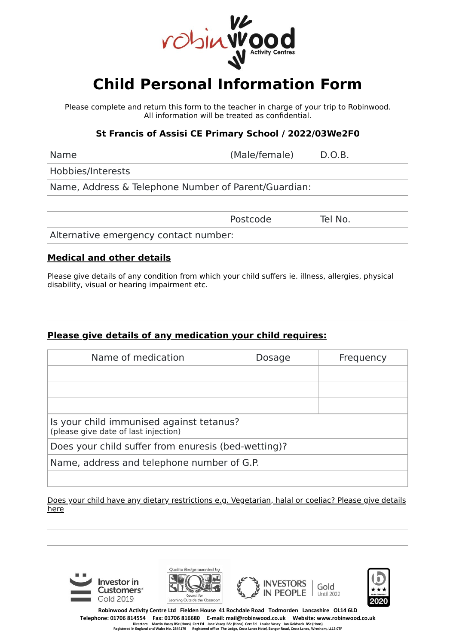

# **Child Personal Information Form**

Please complete and return this form to the teacher in charge of your trip to Robinwood. All information will be treated as confidential.

### **St Francis of Assisi CE Primary School / 2022/03We2F0**

Name **(Male/female)** D.O.B.

Hobbies/Interests

Name, Address & Telephone Number of Parent/Guardian:

Postcode Tel No.

Alternative emergency contact number:

#### **Medical and other details**

Please give details of any condition from which your child suffers ie. illness, allergies, physical disability, visual or hearing impairment etc.

## **Please give details of any medication your child requires:**

| Name of medication                                                               | Dosage | Frequency |
|----------------------------------------------------------------------------------|--------|-----------|
|                                                                                  |        |           |
|                                                                                  |        |           |
|                                                                                  |        |           |
| Is your child immunised against tetanus?<br>(please give date of last injection) |        |           |
| Does your child suffer from enuresis (bed-wetting)?                              |        |           |
| Name, address and telephone number of G.P.                                       |        |           |
|                                                                                  |        |           |

Does your child have any dietary restrictions e.g. Vegetarian, halal or coeliac? Please give details here









**Robinwood Activity Centre Ltd Fielden House 41 Rochdale Road Todmorden Lancashire OL14 6LD** Telephone: 01706 814554 Fax: 01706 816680 E-mail: mail@robinwood.co.uk Website: www.robinwood.co.uk<br>Directors: Marin Vasey BSc (Hons) Cert Ed Jane Vasey BSC (Hons) Cert Ed Louise Vasey lan Goldsack BSc (Ho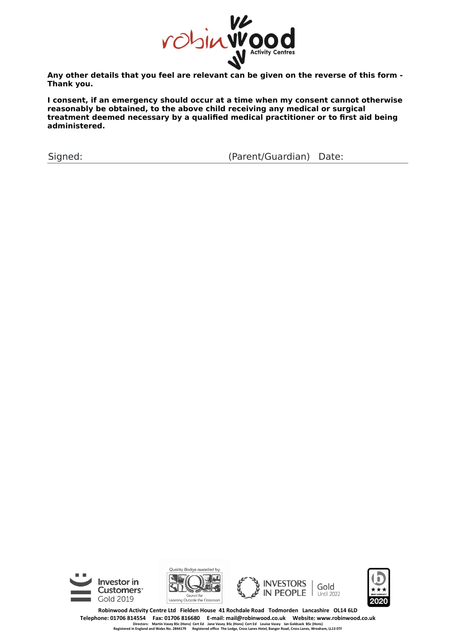

**Thank you.**

**I consent, if an emergency should occur at a time when my consent cannot otherwise reasonably be obtained, to the above child receiving any medical or surgical treatment deemed necessary by a qualified medical practitioner or to first aid being administered.**

Signed: (Parent/Guardian) Date:









**Robinwood Activity Centre Ltd Fielden House 41 Rochdale Road Todmorden Lancashire OL14 6LD** Telephone: 01706 814554 Fax: 01706 816680 E-mail: mail@robinwood.co.uk Website: www.robinwood.co.uk<br>Directors: Marin Vasey BSc (Hons) Cert Ed Jane Vasey BSC (Hons) Cert Ed Louise Vasey lan Goldsack BSc (Ho